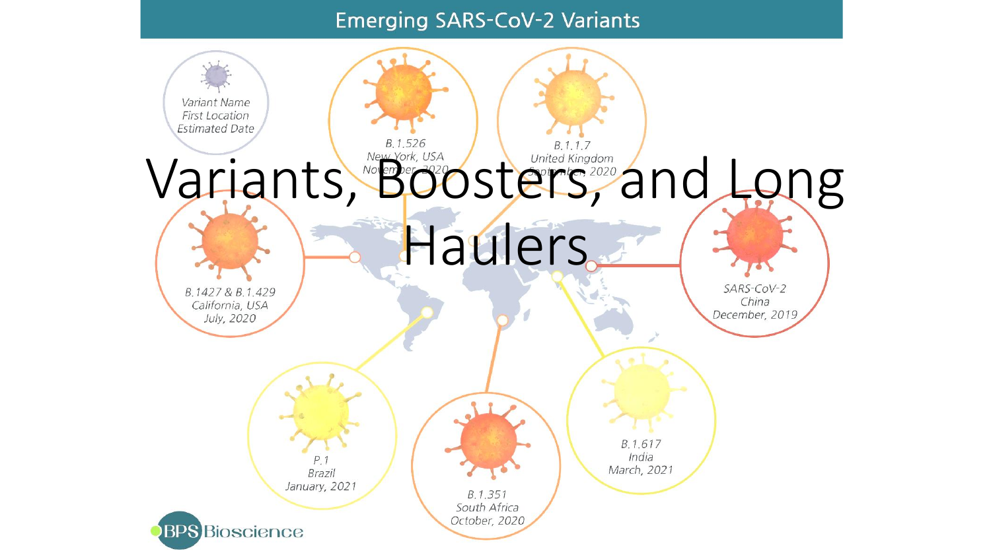#### **Emerging SARS-CoV-2 Variants**

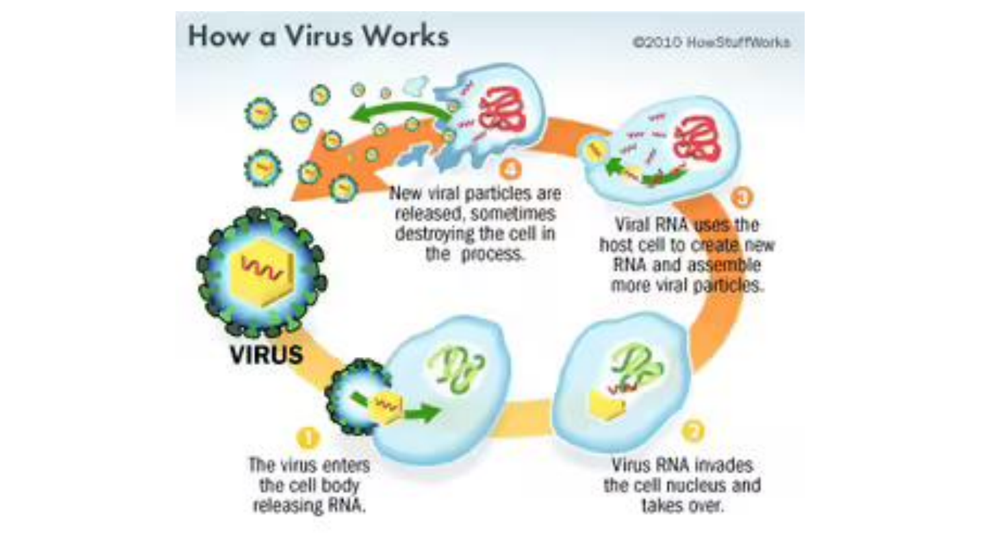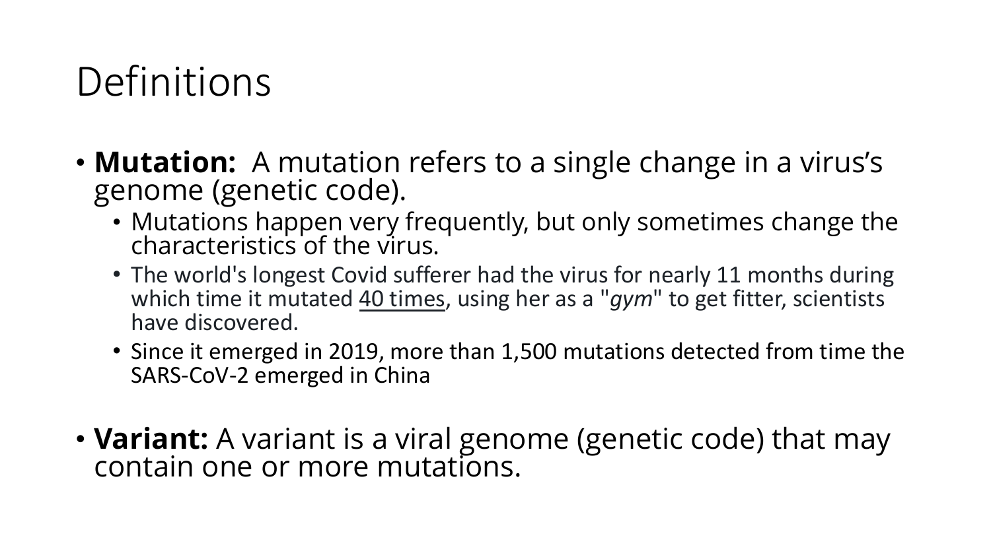## **Definitions**

- **Mutation:** A mutation refers to a single change in a virus's genome (genetic code).
	- Mutations happen very frequently, but only sometimes change the characteristics of the virus.
	- The world's longest Covid sufferer had the virus for nearly 11 months during which time it mutated 40 times, using her as a "*gym*" to get fitter, scientists have discovered.
	- Since it emerged in 2019, more than 1,500 mutations detected from time the SARS-CoV-2 emerged in China
- **Variant:** A variant is a viral genome (genetic code) that may contain one or more mutations.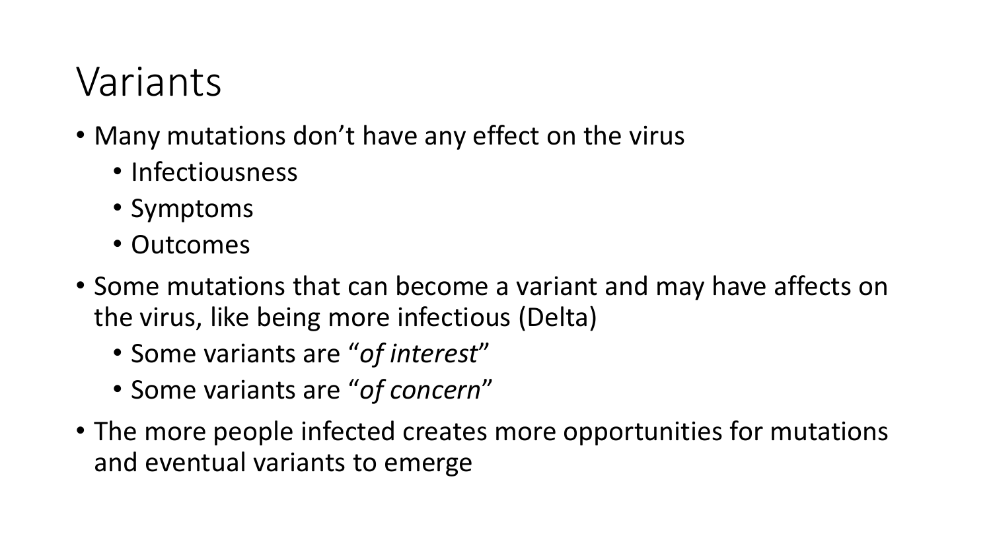#### Variants

- Many mutations don't have any effect on the virus
	- Infectiousness
	- Symptoms
	- Outcomes
- Some mutations that can become a variant and may have affects on the virus, like being more infectious (Delta)
	- Some variants are "*of interest*"
	- Some variants are "*of concern*"
- The more people infected creates more opportunities for mutations and eventual variants to emerge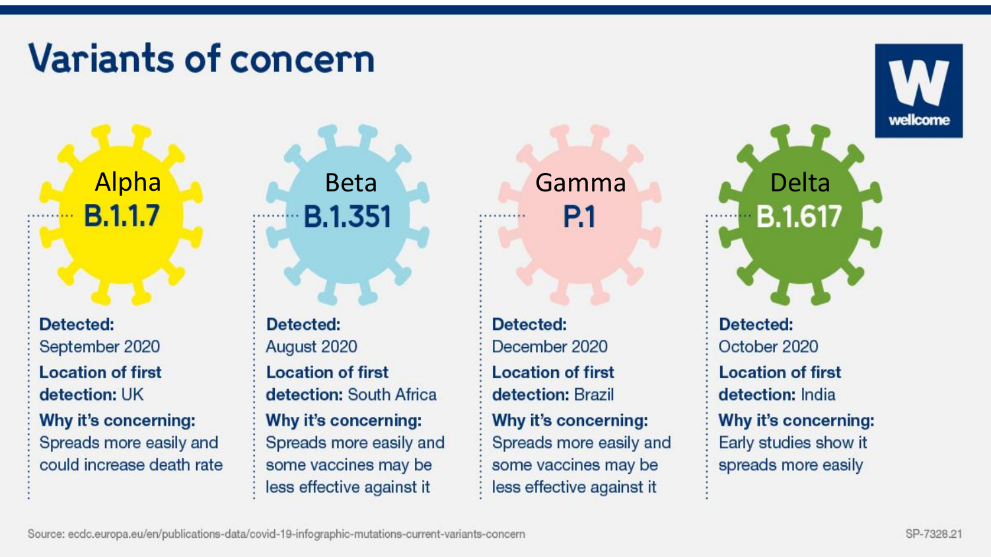#### **Variants of concern**

**B.1.1.7** 

Detected: September 2020 **Location of first** detection: UK Why it's concerning: Spreads more easily and could increase death rate

Alpha Andrew Beta Gamma Andrew Delta **B.1.351** 

> **Detected:** August 2020 **Location of first** detection: South Africa Why it's concerning: Spreads more easily and some vaccines may be less effective against it

Detected: December 2020 **Location of first** detection: Brazil Why it's concerning: Spreads more easily and some vaccines may be less effective against it

**P.1** 

**B.1.617** Detected: October 2020 **Location of first** detection: India Why it's concerning: Early studies show it spreads more easily

wellcome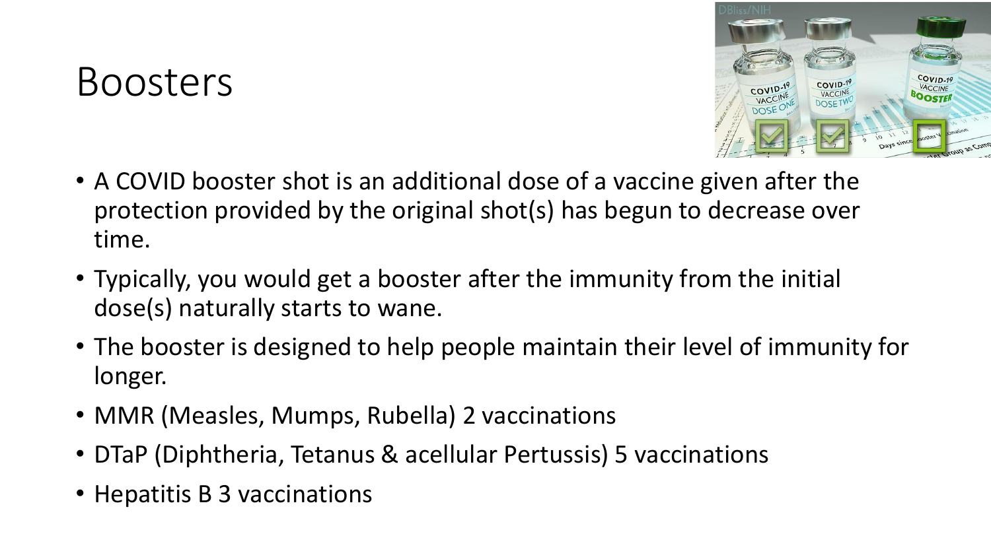#### Boosters



- A COVID booster shot is an additional dose of a vaccine given after the protection provided by the original shot(s) has begun to decrease over time.
- Typically, you would get a booster after the immunity from the initial dose(s) naturally starts to wane.
- The booster is designed to help people maintain their level of immunity for longer.
- MMR (Measles, Mumps, Rubella) 2 vaccinations
- DTaP (Diphtheria, Tetanus & acellular Pertussis) 5 vaccinations
- Hepatitis B 3 vaccinations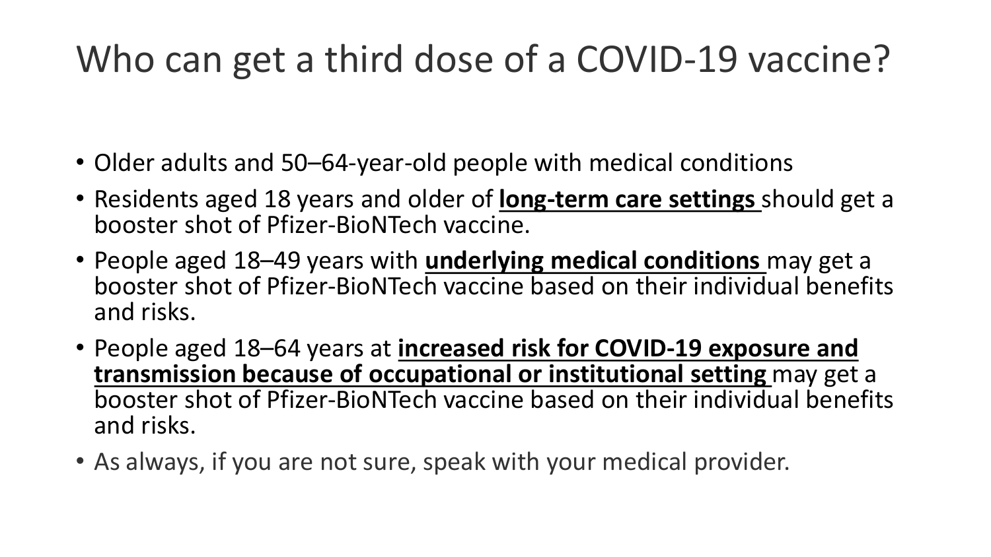#### Who can get a third dose of a COVID-19 vaccine?

- Older adults and 50–64-year-old people with medical conditions
- Residents aged 18 years and older of **long-term care settings** should get a booster shot of Pfizer-BioNTech vaccine.
- People aged 18–49 years with **underlying medical conditions** may get a booster shot of Pfizer-BioNTech vaccine based on their individual benefits and risks.
- People aged 18–64 years at **increased risk for COVID-19 exposure and transmission because of occupational or institutional setting** may get a booster shot of Pfizer-BioNTech vaccine based on their individual benefits and risks.
- As always, if you are not sure, speak with your medical provider.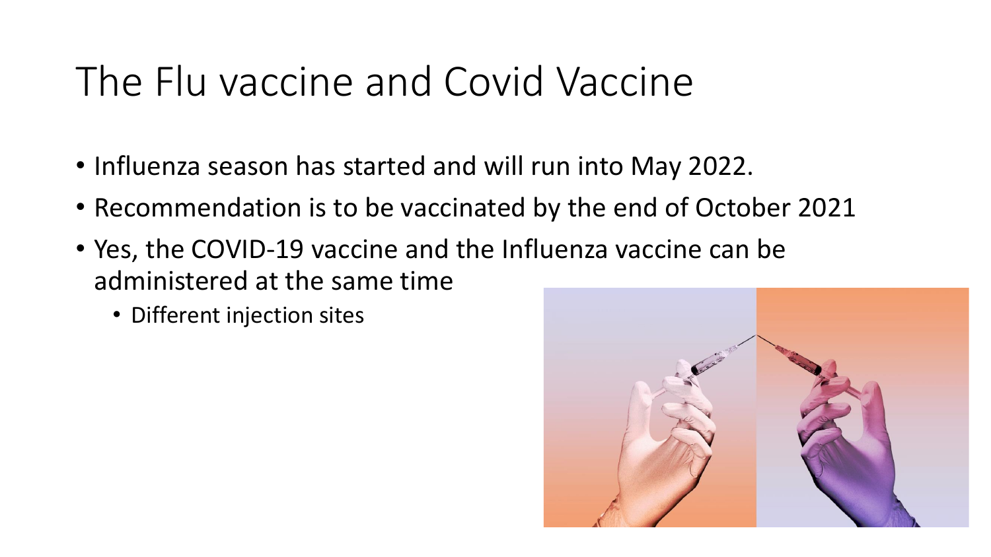# The Flu vaccine and Covid Vaccine

- Influenza season has started and will run into May 2022.
- Recommendation is to be vaccinated by the end of October 2021
- Yes, the COVID-19 vaccine and the Influenza vaccine can be administered at the same time
	- Different injection sites

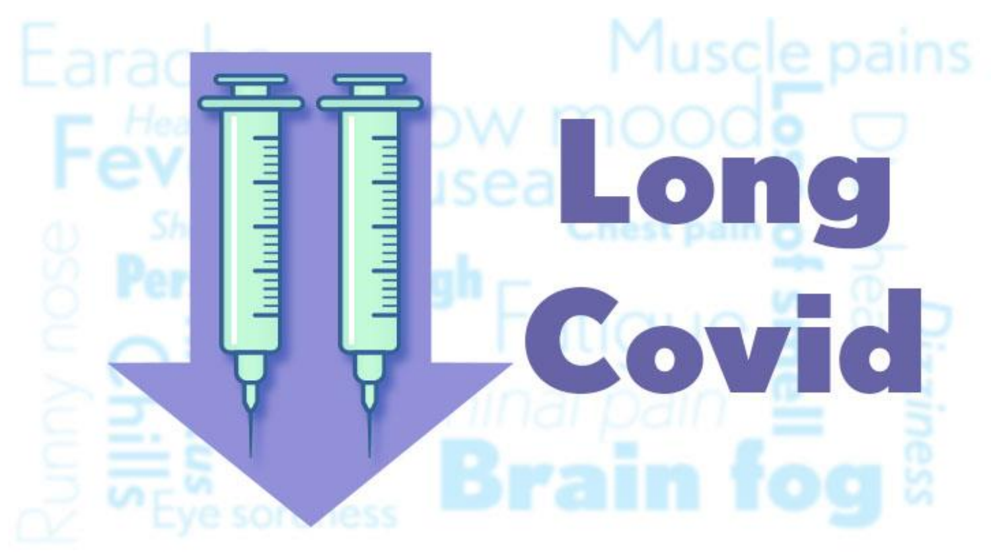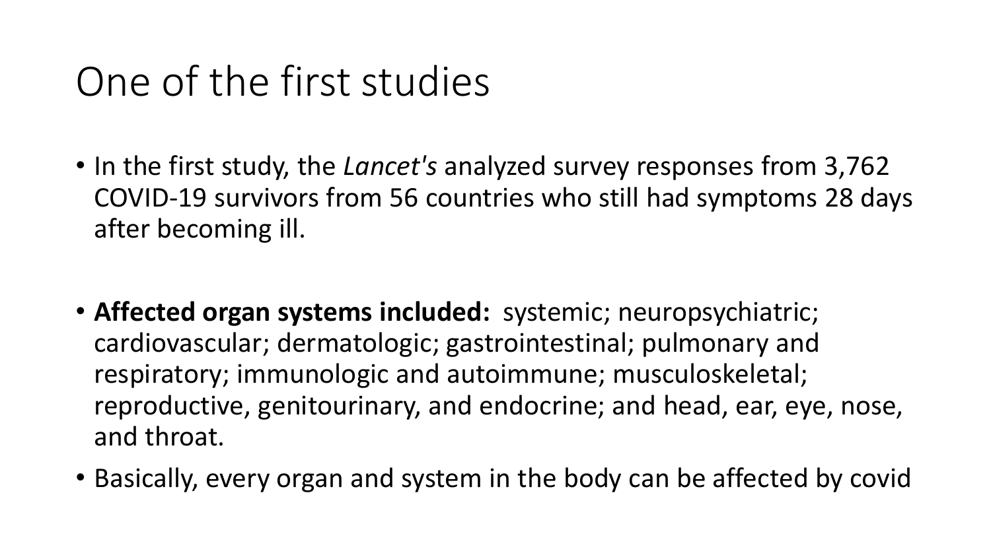## One of the first studies

- In the first study, the *Lancet's* analyzed survey responses from 3,762 COVID-19 survivors from 56 countries who still had symptoms 28 days after becoming ill.
- **Affected organ systems included:** systemic; neuropsychiatric; cardiovascular; dermatologic; gastrointestinal; pulmonary and respiratory; immunologic and autoimmune; musculoskeletal; reproductive, genitourinary, and endocrine; and head, ear, eye, nose, and throat.
- Basically, every organ and system in the body can be affected by covid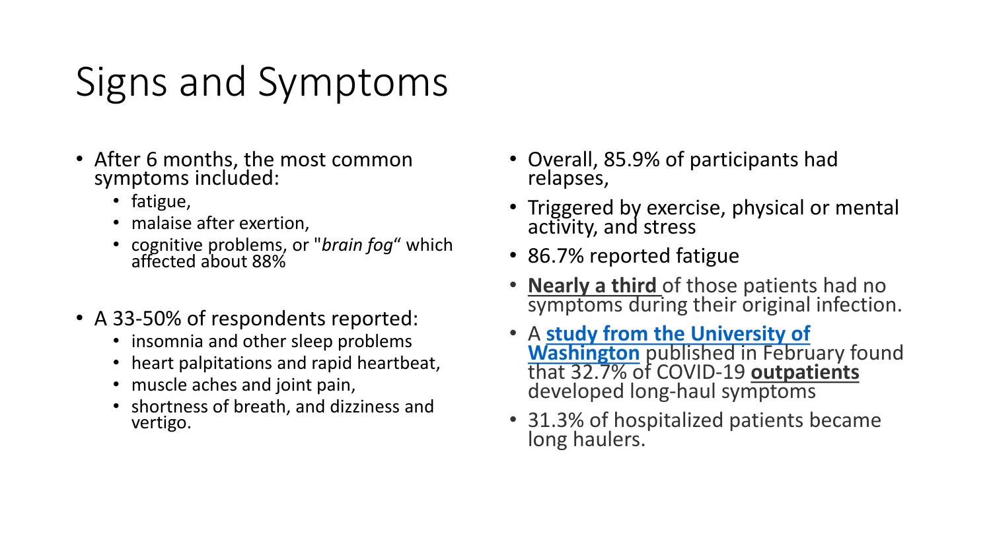# Signs and Symptoms

- After 6 months, the most common symptoms included:
	- fatigue,
	- malaise after exertion,
	- cognitive problems, or "*brain fog*" which affected about 88%
- A 33-50% of respondents reported:
	- insomnia and other sleep problems
	- heart palpitations and rapid heartbeat,
	- muscle aches and joint pain,
	- shortness of breath, and dizziness and vertigo.
- Overall, 85.9% of participants had relapses,
- Triggered by exercise, physical or mental activity, and stress
- 86.7% reported fatigue
- **Nearly a third** of those patients had no symptoms during their original infection.
- A **[study from the University of](https://jamanetwork.com/journals/jamanetworkopen/fullarticle/2776560) Washington** published in February found that 32.7% of COVID-19 **outpatients** developed long-haul symptoms
- 31.3% of hospitalized patients became long haulers.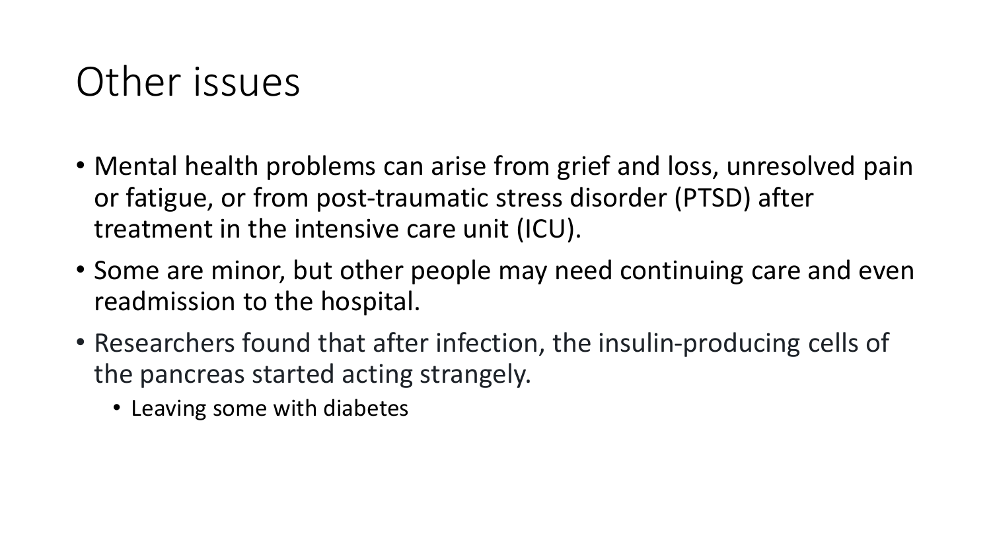### Other issues

- Mental health problems can arise from grief and loss, unresolved pain or fatigue, or from post-traumatic stress disorder (PTSD) after treatment in the intensive care unit (ICU).
- Some are minor, but other people may need continuing care and even readmission to the hospital.
- Researchers found that after infection, the insulin-producing cells of the pancreas started acting strangely.
	- Leaving some with diabetes